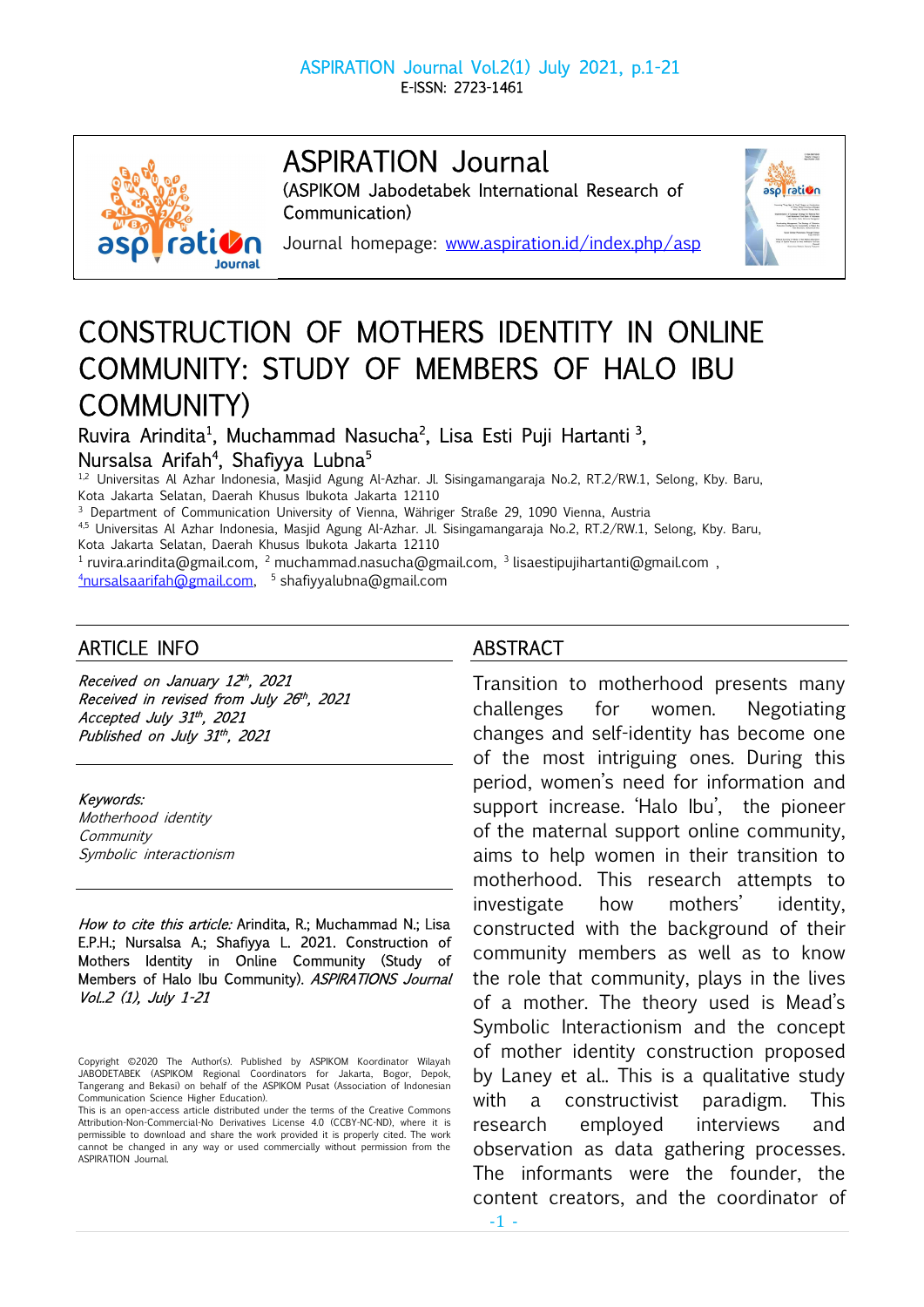

# ASPIRATION Journal

(ASPIKOM Jabodetabek International Research of Communication)



Journal homepage: www.aspiration.id/index.php/asp

# CONSTRUCTION OF MOTHERS IDENTITY IN ONLINE COMMUNITY: STUDY OF MEMBERS OF HALO IBU COMMUNITY)

Ruvira Arindita<sup>1</sup>, Muchammad Nasucha<sup>2</sup>, Lisa Esti Puji Hartanti<sup>3</sup>, Nursalsa Arifah<sup>4</sup>, Shafiyya Lubna<sup>5</sup>

1,2 Universitas Al Azhar Indonesia, Masjid Agung Al-Azhar. Jl. Sisingamangaraja No.2, RT.2/RW.1, Selong, Kby. Baru, Kota Jakarta Selatan, Daerah Khusus Ibukota Jakarta 12110

<sup>3</sup> Department of Communication University of Vienna, Währiger Straße 29, 1090 Vienna, Austria

4,5 Universitas Al Azhar Indonesia, Masjid Agung Al-Azhar. Jl. Sisingamangaraja No.2, RT.2/RW.1, Selong, Kby. Baru, Kota Jakarta Selatan, Daerah Khusus Ibukota Jakarta 12110

<sup>1</sup> ruvira.arindita@gmail.com, <sup>2</sup> muchammad.nasucha@gmail.com, <sup>3</sup> lisaestipujihartanti@gmail.com,

<sup>4</sup>nursalsaarifah@gmail.com, <sup>5</sup> shafiyyalubna@gmail.com

# ARTICLE INFO

Received on January 12 th , 2021 Received in revised from July 26th, 2021 Accepted July 31th, 2021 Published on July 31th, 2021

Keywords:

Motherhood identity **Community** Symbolic interactionism

How to cite this article: Arindita, R.; Muchammad N.; Lisa E.P.H.; Nursalsa A.; Shafiyya L. 2021. Construction of Mothers Identity in Online Community (Study of Members of Halo Ibu Community). ASPIRATIONS Journal Vol..2 (1), July 1-21

# ABSTRACT

Transition to motherhood presents many challenges for women. Negotiating changes and self-identity has become one of the most intriguing ones. During this period, women's need for information and support increase. 'Halo Ibu', the pioneer of the maternal support online community, aims to help women in their transition to motherhood. This research attempts to investigate how mothers' identity, constructed with the background of their community members as well as to know the role that community, plays in the lives of a mother. The theory used is Mead's Symbolic Interactionism and the concept of mother identity construction proposed by Laney et al.. This is a qualitative study with a constructivist paradigm. This research employed interviews and observation as data gathering processes. The informants were the founder, the content creators, and the coordinator of

Copyright ©2020 The Author(s). Published by ASPIKOM Koordinator Wilayah JABODETABEK (ASPIKOM Regional Coordinators for Jakarta, Bogor, Depok, Tangerang and Bekasi) on behalf of the ASPIKOM Pusat (Association of Indonesian Communication Science Higher Education).

This is an open-access article distributed under the terms of the Creative Commons Attribution-Non-Commercial-No Derivatives License 4.0 (CCBY-NC-ND), where it is permissible to download and share the work provided it is properly cited. The work cannot be changed in any way or used commercially without permission from the ASPIRATION Journal.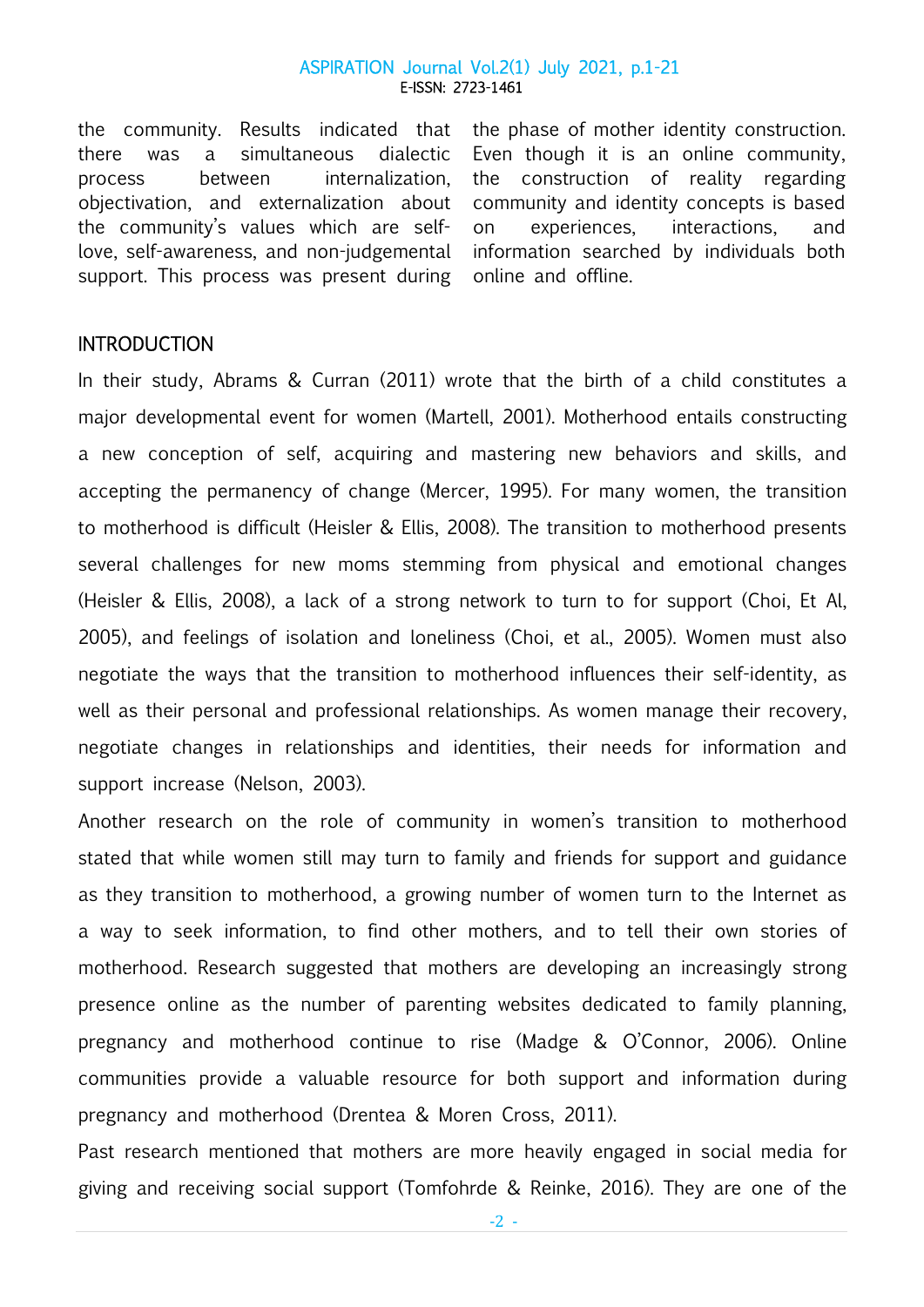the community. Results indicated that there was a simultaneous dialectic process between internalization, objectivation, and externalization about the community's values which are selflove, self-awareness, and non-judgemental support. This process was present during

the phase of mother identity construction. Even though it is an online community, the construction of reality regarding community and identity concepts is based on experiences, interactions, and information searched by individuals both online and offline.

## **INTRODUCTION**

In their study, Abrams & Curran (2011) wrote that the birth of a child constitutes a major developmental event for women (Martell, 2001). Motherhood entails constructing a new conception of self, acquiring and mastering new behaviors and skills, and accepting the permanency of change (Mercer, 1995). For many women, the transition to motherhood is difficult (Heisler & Ellis, 2008). The transition to motherhood presents several challenges for new moms stemming from physical and emotional changes (Heisler & Ellis, 2008), a lack of a strong network to turn to for support (Choi, Et Al, 2005), and feelings of isolation and loneliness (Choi, et al., 2005). Women must also negotiate the ways that the transition to motherhood influences their self-identity, as well as their personal and professional relationships. As women manage their recovery, negotiate changes in relationships and identities, their needs for information and support increase (Nelson, 2003).

Another research on the role of community in women's transition to motherhood stated that while women still may turn to family and friends for support and guidance as they transition to motherhood, a growing number of women turn to the Internet as a way to seek information, to find other mothers, and to tell their own stories of motherhood. Research suggested that mothers are developing an increasingly strong presence online as the number of parenting websites dedicated to family planning, pregnancy and motherhood continue to rise (Madge & O'Connor, 2006). Online communities provide a valuable resource for both support and information during pregnancy and motherhood (Drentea & Moren Cross, 2011).

Past research mentioned that mothers are more heavily engaged in social media for giving and receiving social support (Tomfohrde & Reinke, 2016). They are one of the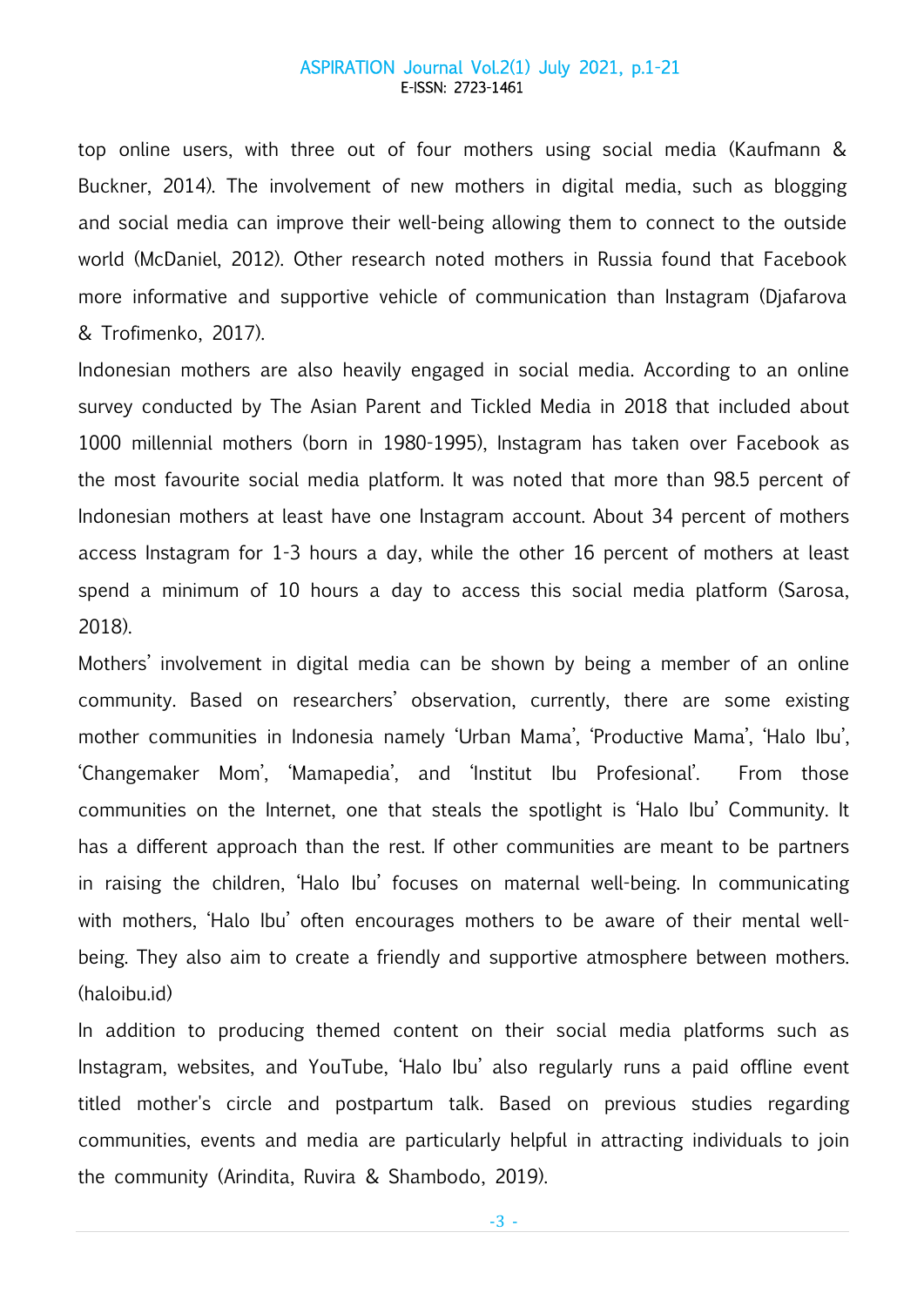top online users, with three out of four mothers using social media (Kaufmann & Buckner, 2014). The involvement of new mothers in digital media, such as blogging and social media can improve their well-being allowing them to connect to the outside world (McDaniel, 2012). Other research noted mothers in Russia found that Facebook more informative and supportive vehicle of communication than Instagram (Djafarova & Trofimenko, 2017).

Indonesian mothers are also heavily engaged in social media. According to an online survey conducted by The Asian Parent and Tickled Media in 2018 that included about 1000 millennial mothers (born in 1980-1995), Instagram has taken over Facebook as the most favourite social media platform. It was noted that more than 98.5 percent of Indonesian mothers at least have one Instagram account. About 34 percent of mothers access Instagram for 1-3 hours a day, while the other 16 percent of mothers at least spend a minimum of 10 hours a day to access this social media platform (Sarosa, 2018).

Mothers' involvement in digital media can be shown by being a member of an online community. Based on researchers' observation, currently, there are some existing mother communities in Indonesia namely 'Urban Mama', 'Productive Mama', 'Halo Ibu', 'Changemaker Mom', 'Mamapedia', and 'Institut Ibu Profesional'. From those communities on the Internet, one that steals the spotlight is 'Halo Ibu' Community. It has a different approach than the rest. If other communities are meant to be partners in raising the children, 'Halo Ibu' focuses on maternal well-being. In communicating with mothers, 'Halo Ibu' often encourages mothers to be aware of their mental wellbeing. They also aim to create a friendly and supportive atmosphere between mothers. (haloibu.id)

In addition to producing themed content on their social media platforms such as Instagram, websites, and YouTube, 'Halo Ibu' also regularly runs a paid offline event titled mother's circle and postpartum talk. Based on previous studies regarding communities, events and media are particularly helpful in attracting individuals to join the community (Arindita, Ruvira & Shambodo, 2019).

-3 -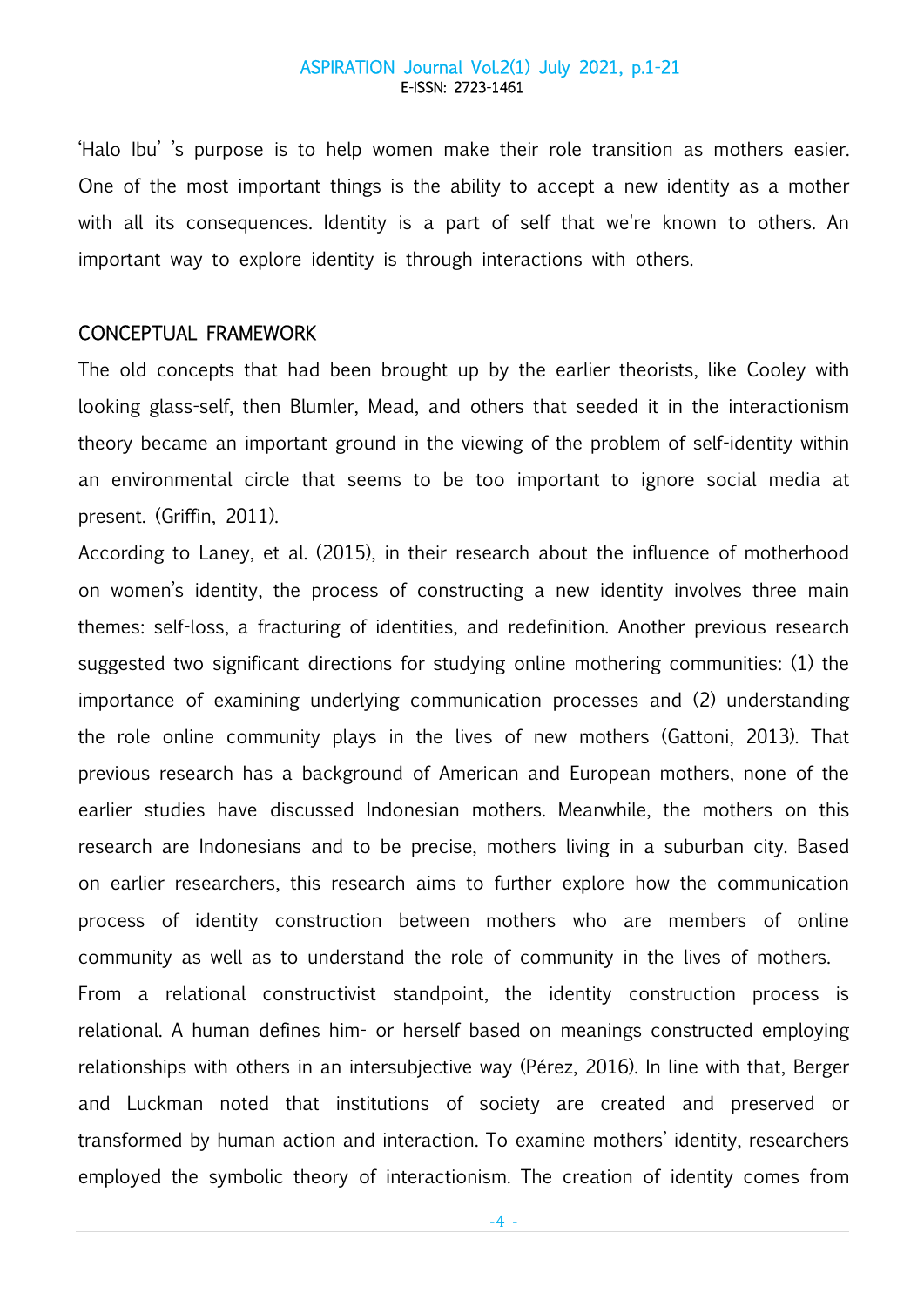'Halo Ibu' 's purpose is to help women make their role transition as mothers easier. One of the most important things is the ability to accept a new identity as a mother with all its consequences. Identity is a part of self that we're known to others. An important way to explore identity is through interactions with others.

## CONCEPTUAL FRAMEWORK

The old concepts that had been brought up by the earlier theorists, like Cooley with looking glass-self, then Blumler, Mead, and others that seeded it in the interactionism theory became an important ground in the viewing of the problem of self-identity within an environmental circle that seems to be too important to ignore social media at present. (Griffin, 2011).

According to Laney, et al. (2015), in their research about the influence of motherhood on women's identity, the process of constructing a new identity involves three main themes: self-loss, a fracturing of identities, and redefinition. Another previous research suggested two significant directions for studying online mothering communities: (1) the importance of examining underlying communication processes and (2) understanding the role online community plays in the lives of new mothers (Gattoni, 2013). That previous research has a background of American and European mothers, none of the earlier studies have discussed Indonesian mothers. Meanwhile, the mothers on this research are Indonesians and to be precise, mothers living in a suburban city. Based on earlier researchers, this research aims to further explore how the communication process of identity construction between mothers who are members of online community as well as to understand the role of community in the lives of mothers. From a relational constructivist standpoint, the identity construction process is relational. A human defines him- or herself based on meanings constructed employing relationships with others in an intersubjective way (Pérez, 2016). In line with that, Berger and Luckman noted that institutions of society are created and preserved or transformed by human action and interaction. To examine mothers' identity, researchers employed the symbolic theory of interactionism. The creation of identity comes from

-4 -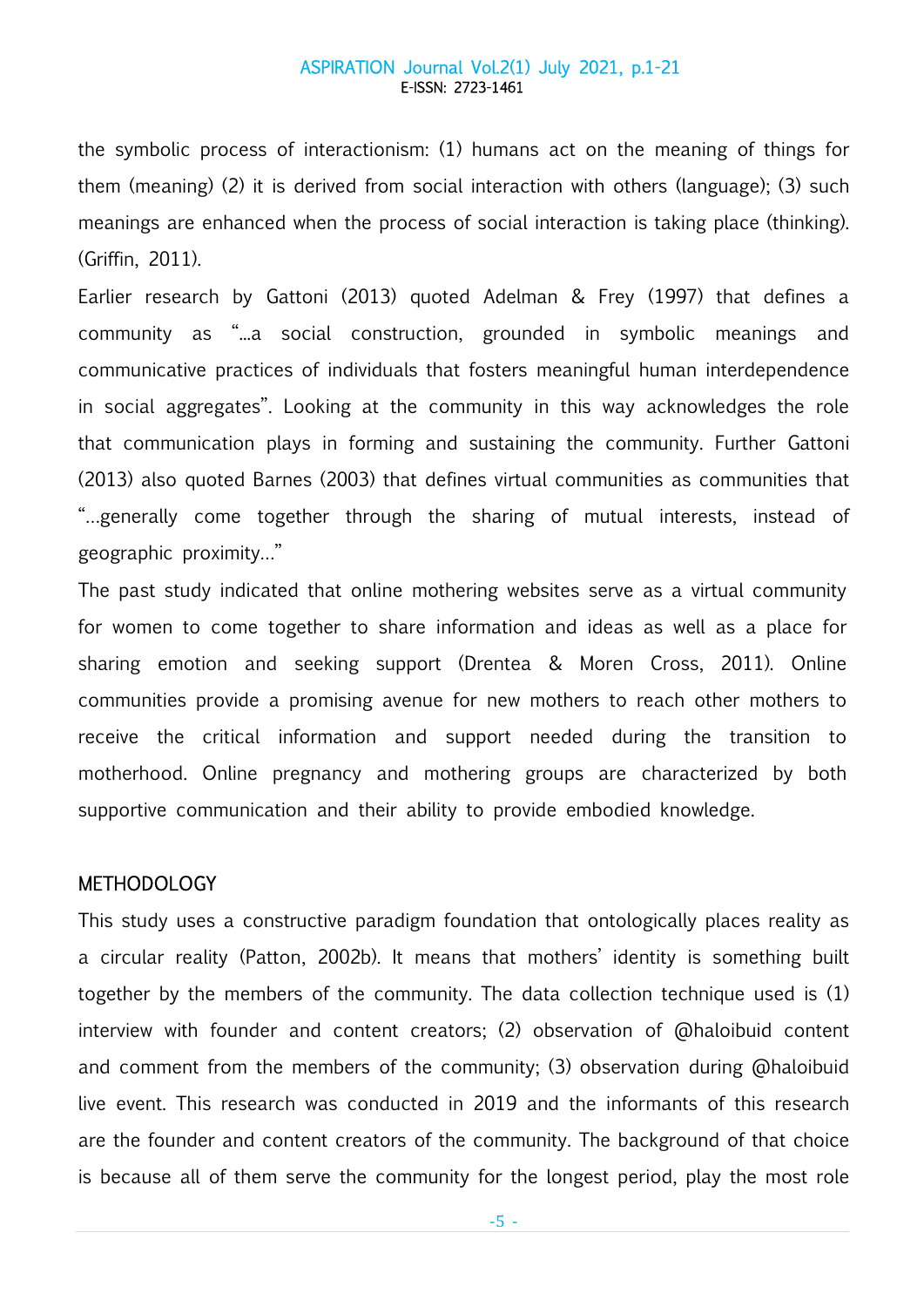the symbolic process of interactionism: (1) humans act on the meaning of things for them (meaning) (2) it is derived from social interaction with others (language); (3) such meanings are enhanced when the process of social interaction is taking place (thinking). (Griffin, 2011).

Earlier research by Gattoni (2013) quoted Adelman & Frey (1997) that defines a community as "...a social construction, grounded in symbolic meanings and communicative practices of individuals that fosters meaningful human interdependence in social aggregates". Looking at the community in this way acknowledges the role that communication plays in forming and sustaining the community. Further Gattoni (2013) also quoted Barnes (2003) that defines virtual communities as communities that "…generally come together through the sharing of mutual interests, instead of geographic proximity…"

The past study indicated that online mothering websites serve as a virtual community for women to come together to share information and ideas as well as a place for sharing emotion and seeking support (Drentea & Moren Cross, 2011). Online communities provide a promising avenue for new mothers to reach other mothers to receive the critical information and support needed during the transition to motherhood. Online pregnancy and mothering groups are characterized by both supportive communication and their ability to provide embodied knowledge.

## **METHODOLOGY**

This study uses a constructive paradigm foundation that ontologically places reality as a circular reality (Patton, 2002b). It means that mothers' identity is something built together by the members of the community. The data collection technique used is (1) interview with founder and content creators; (2) observation of @haloibuid content and comment from the members of the community; (3) observation during @haloibuid live event. This research was conducted in 2019 and the informants of this research are the founder and content creators of the community. The background of that choice is because all of them serve the community for the longest period, play the most role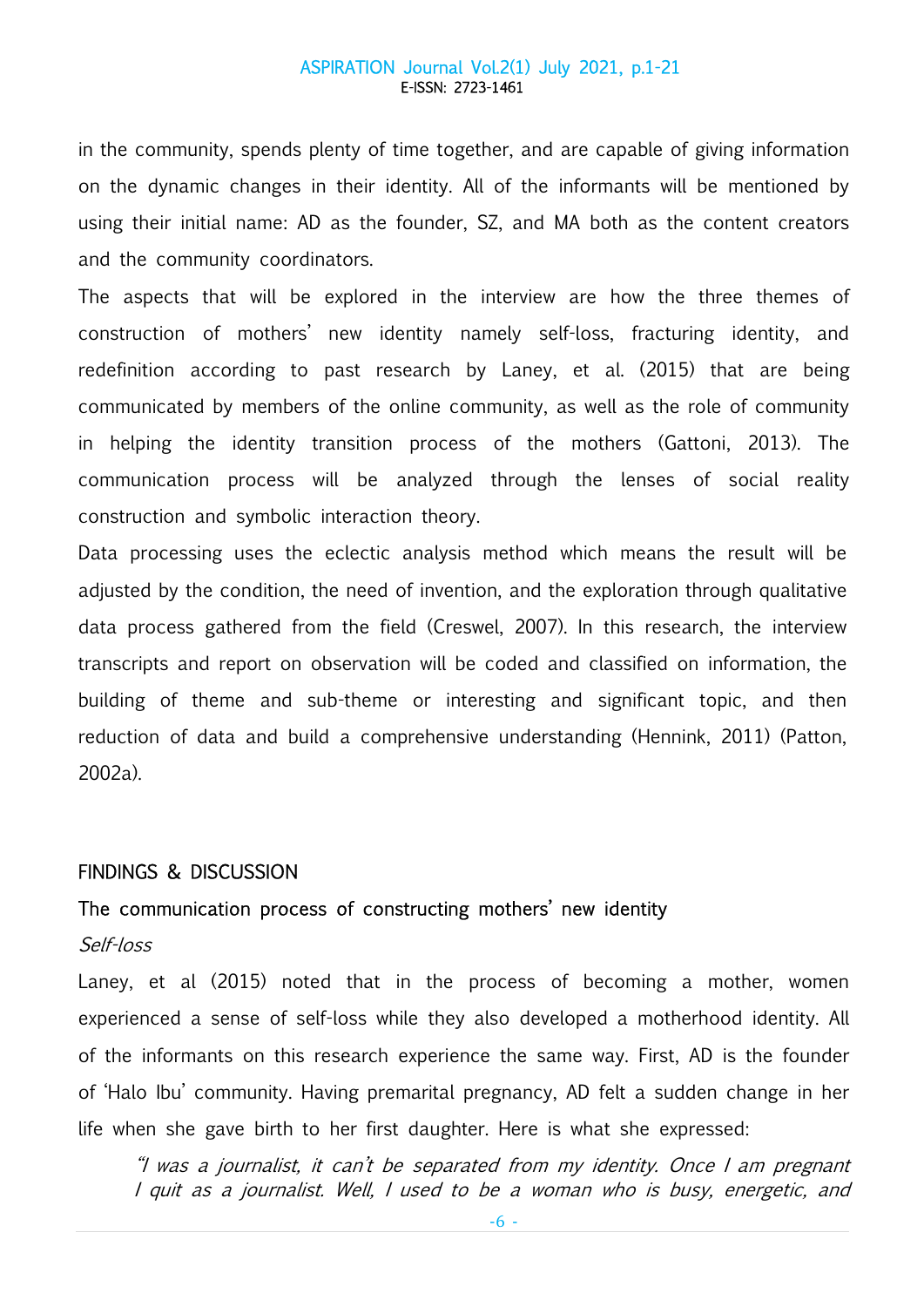in the community, spends plenty of time together, and are capable of giving information on the dynamic changes in their identity. All of the informants will be mentioned by using their initial name: AD as the founder, SZ, and MA both as the content creators and the community coordinators.

The aspects that will be explored in the interview are how the three themes of construction of mothers' new identity namely self-loss, fracturing identity, and redefinition according to past research by Laney, et al. (2015) that are being communicated by members of the online community, as well as the role of community in helping the identity transition process of the mothers (Gattoni, 2013). The communication process will be analyzed through the lenses of social reality construction and symbolic interaction theory.

Data processing uses the eclectic analysis method which means the result will be adjusted by the condition, the need of invention, and the exploration through qualitative data process gathered from the field (Creswel, 2007). In this research, the interview transcripts and report on observation will be coded and classified on information, the building of theme and sub-theme or interesting and significant topic, and then reduction of data and build a comprehensive understanding (Hennink, 2011) (Patton, 2002a).

#### FINDINGS & DISCUSSION

## The communication process of constructing mothers' new identity

## Self-loss

Laney, et al (2015) noted that in the process of becoming a mother, women experienced a sense of self-loss while they also developed a motherhood identity. All of the informants on this research experience the same way. First, AD is the founder of 'Halo Ibu' community. Having premarital pregnancy, AD felt a sudden change in her life when she gave birth to her first daughter. Here is what she expressed:

"I was a journalist, it can't be separated from my identity. Once I am pregnant I quit as a journalist. Well, I used to be a woman who is busy, energetic, and

-6 -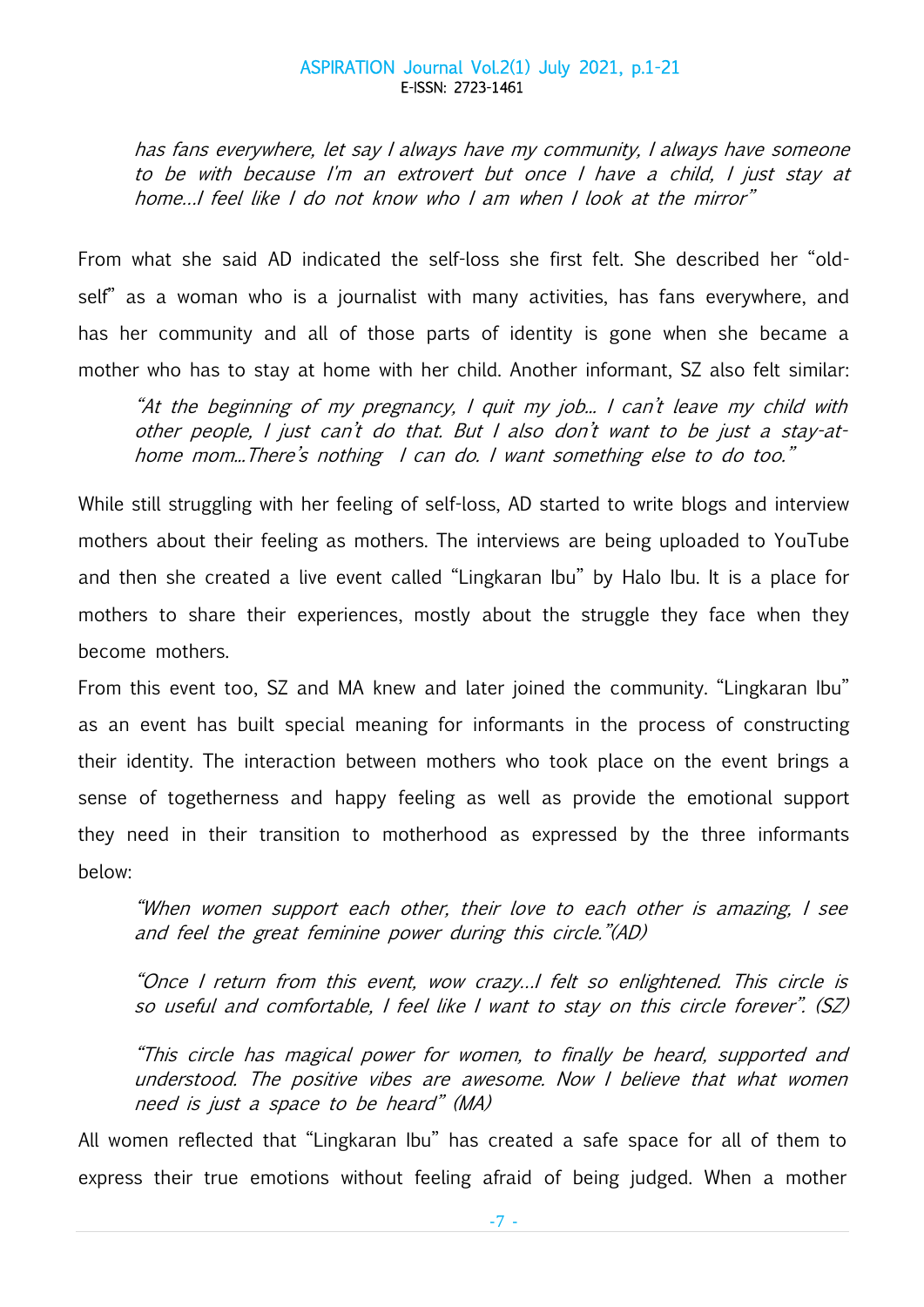has fans everywhere, let say I always have my community, I always have someone to be with because I'm an extrovert but once I have a child, I just stay at home…I feel like I do not know who I am when I look at the mirror"

From what she said AD indicated the self-loss she first felt. She described her "oldself" as a woman who is a journalist with many activities, has fans everywhere, and has her community and all of those parts of identity is gone when she became a mother who has to stay at home with her child. Another informant, SZ also felt similar:

"At the beginning of my pregnancy, I quit my job... I can't leave my child with other people, I just can't do that. But I also don't want to be just a stay-athome mom...There's nothing I can do. I want something else to do too."

While still struggling with her feeling of self-loss, AD started to write blogs and interview mothers about their feeling as mothers. The interviews are being uploaded to YouTube and then she created a live event called "Lingkaran Ibu" by Halo Ibu. It is a place for mothers to share their experiences, mostly about the struggle they face when they become mothers.

From this event too, SZ and MA knew and later joined the community. "Lingkaran Ibu" as an event has built special meaning for informants in the process of constructing their identity. The interaction between mothers who took place on the event brings a sense of togetherness and happy feeling as well as provide the emotional support they need in their transition to motherhood as expressed by the three informants below:

"When women support each other, their love to each other is amazing, I see and feel the great feminine power during this circle."(AD)

"Once I return from this event, wow crazy…I felt so enlightened. This circle is so useful and comfortable, I feel like I want to stay on this circle forever". (SZ)

"This circle has magical power for women, to finally be heard, supported and understood. The positive vibes are awesome. Now I believe that what women need is just a space to be heard" (MA)

All women reflected that "Lingkaran Ibu" has created a safe space for all of them to express their true emotions without feeling afraid of being judged. When a mother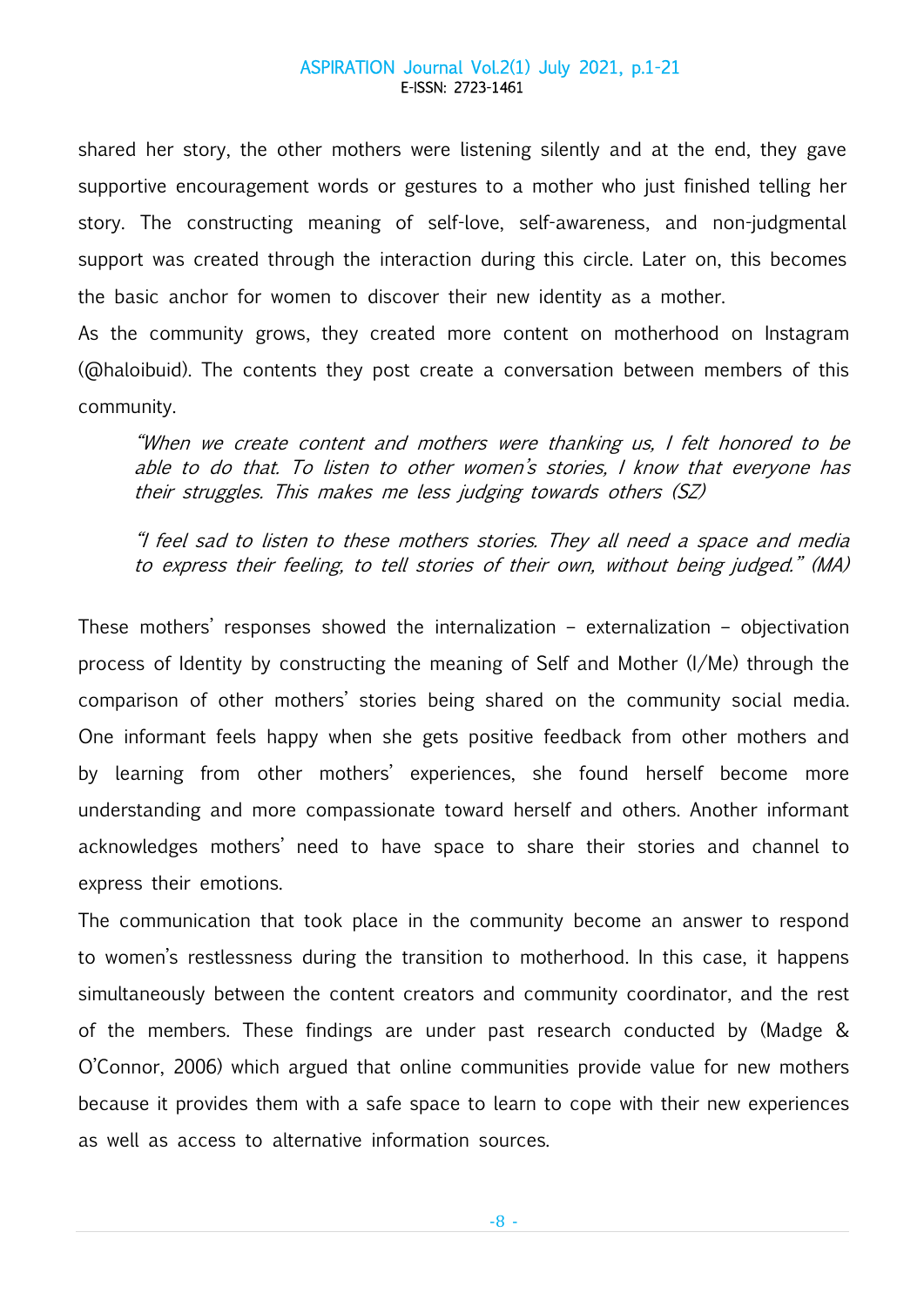shared her story, the other mothers were listening silently and at the end, they gave supportive encouragement words or gestures to a mother who just finished telling her story. The constructing meaning of self-love, self-awareness, and non-judgmental support was created through the interaction during this circle. Later on, this becomes the basic anchor for women to discover their new identity as a mother.

As the community grows, they created more content on motherhood on Instagram (@haloibuid). The contents they post create a conversation between members of this community.

"When we create content and mothers were thanking us, I felt honored to be able to do that. To listen to other women's stories, I know that everyone has their struggles. This makes me less judging towards others (SZ)

"I feel sad to listen to these mothers stories. They all need a space and media to express their feeling, to tell stories of their own, without being judged." (MA)

These mothers' responses showed the internalization – externalization – objectivation process of Identity by constructing the meaning of Self and Mother (I/Me) through the comparison of other mothers' stories being shared on the community social media. One informant feels happy when she gets positive feedback from other mothers and by learning from other mothers' experiences, she found herself become more understanding and more compassionate toward herself and others. Another informant acknowledges mothers' need to have space to share their stories and channel to express their emotions.

The communication that took place in the community become an answer to respond to women's restlessness during the transition to motherhood. In this case, it happens simultaneously between the content creators and community coordinator, and the rest of the members. These findings are under past research conducted by (Madge & O'Connor, 2006) which argued that online communities provide value for new mothers because it provides them with a safe space to learn to cope with their new experiences as well as access to alternative information sources.

-8 -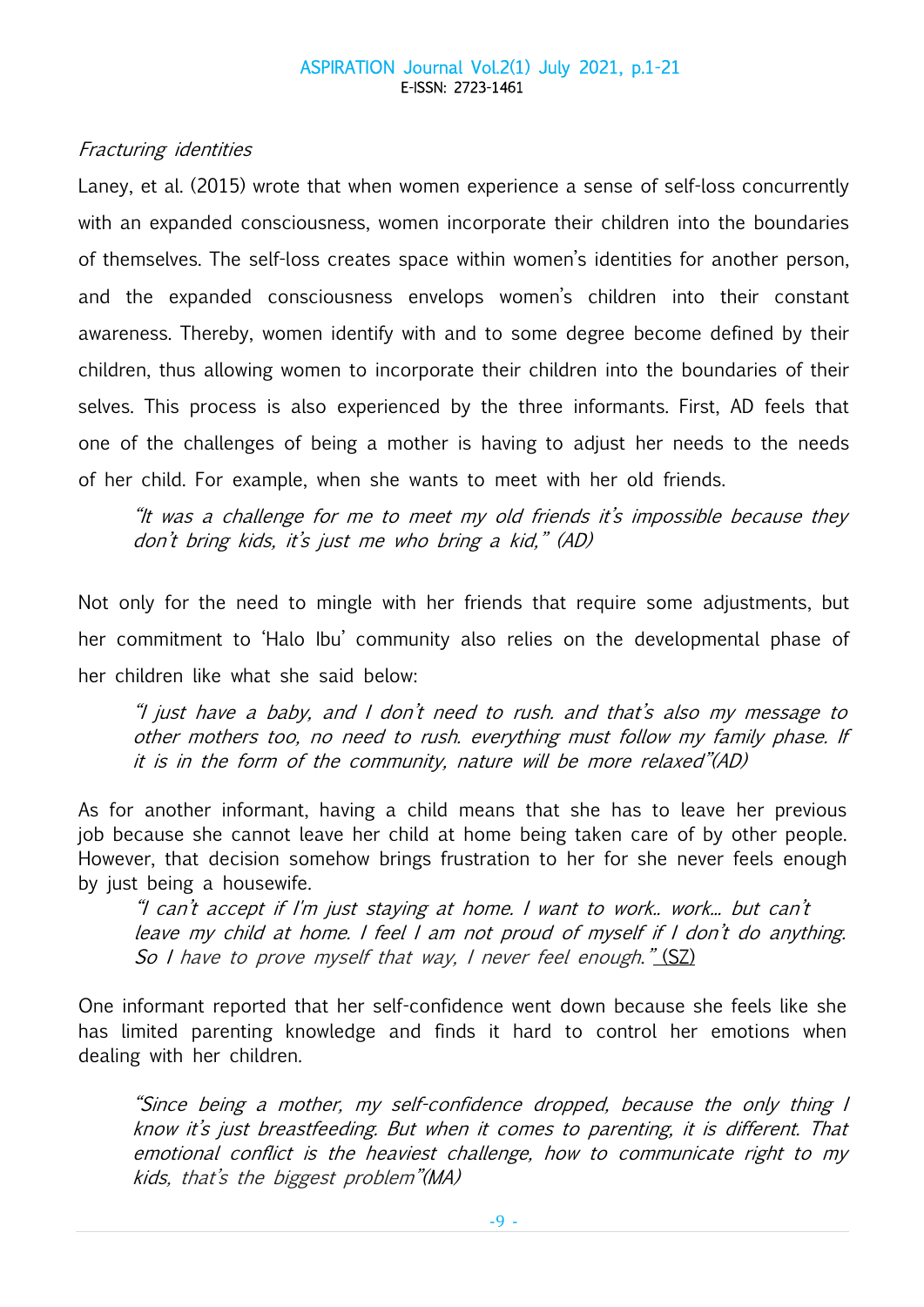## Fracturing identities

Laney, et al. (2015) wrote that when women experience a sense of self-loss concurrently with an expanded consciousness, women incorporate their children into the boundaries of themselves. The self-loss creates space within women's identities for another person, and the expanded consciousness envelops women's children into their constant awareness. Thereby, women identify with and to some degree become defined by their children, thus allowing women to incorporate their children into the boundaries of their selves. This process is also experienced by the three informants. First, AD feels that one of the challenges of being a mother is having to adjust her needs to the needs of her child. For example, when she wants to meet with her old friends.

"It was a challenge for me to meet my old friends it's impossible because they don't bring kids, it's just me who bring a kid," (AD)

Not only for the need to mingle with her friends that require some adjustments, but her commitment to 'Halo Ibu' community also relies on the developmental phase of her children like what she said below:

"I just have a baby, and I don't need to rush. and that's also my message to other mothers too, no need to rush. everything must follow my family phase. If it is in the form of the community, nature will be more relaxed"(AD)

As for another informant, having a child means that she has to leave her previous job because she cannot leave her child at home being taken care of by other people. However, that decision somehow brings frustration to her for she never feels enough by just being a housewife.

"I can't accept if I'm just staying at home. I want to work.. work... but can't leave my child at home. I feel I am not proud of myself if I don't do anything. So I have to prove myself that way, I never feel enough."  $(SZ)$ 

One informant reported that her self-confidence went down because she feels like she has limited parenting knowledge and finds it hard to control her emotions when dealing with her children.

"Since being a mother, my self-confidence dropped, because the only thing I know it's just breastfeeding. But when it comes to parenting, it is different. That emotional conflict is the heaviest challenge, how to communicate right to my kids, that's the biggest problem"(MA)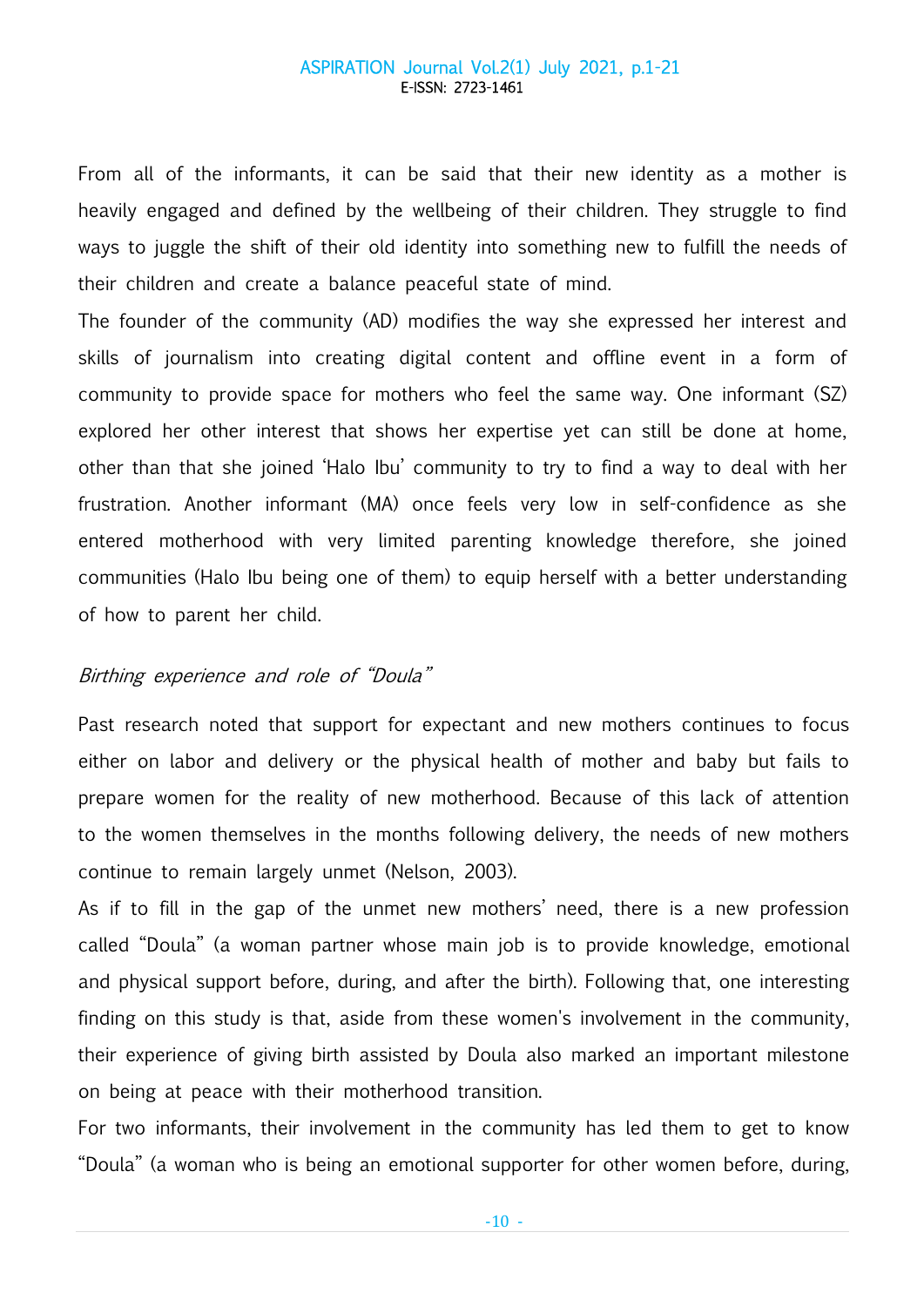From all of the informants, it can be said that their new identity as a mother is heavily engaged and defined by the wellbeing of their children. They struggle to find ways to juggle the shift of their old identity into something new to fulfill the needs of their children and create a balance peaceful state of mind.

The founder of the community (AD) modifies the way she expressed her interest and skills of journalism into creating digital content and offline event in a form of community to provide space for mothers who feel the same way. One informant (SZ) explored her other interest that shows her expertise yet can still be done at home, other than that she joined 'Halo Ibu' community to try to find a way to deal with her frustration. Another informant (MA) once feels very low in self-confidence as she entered motherhood with very limited parenting knowledge therefore, she joined communities (Halo Ibu being one of them) to equip herself with a better understanding of how to parent her child.

## Birthing experience and role of "Doula"

Past research noted that support for expectant and new mothers continues to focus either on labor and delivery or the physical health of mother and baby but fails to prepare women for the reality of new motherhood. Because of this lack of attention to the women themselves in the months following delivery, the needs of new mothers continue to remain largely unmet (Nelson, 2003).

As if to fill in the gap of the unmet new mothers' need, there is a new profession called "Doula" (a woman partner whose main job is to provide knowledge, emotional and physical support before, during, and after the birth). Following that, one interesting finding on this study is that, aside from these women's involvement in the community, their experience of giving birth assisted by Doula also marked an important milestone on being at peace with their motherhood transition.

For two informants, their involvement in the community has led them to get to know "Doula" (a woman who is being an emotional supporter for other women before, during,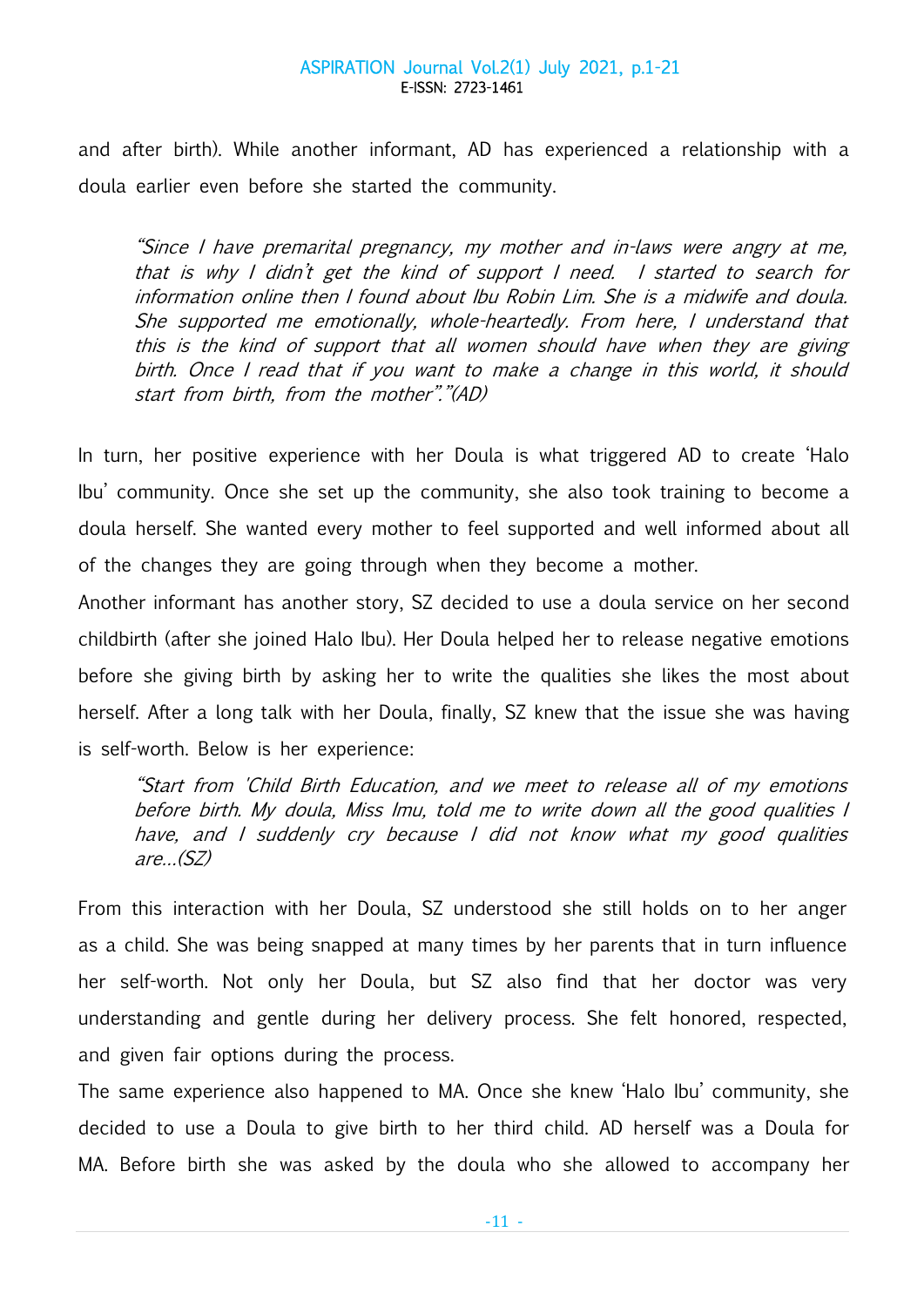and after birth). While another informant, AD has experienced a relationship with a doula earlier even before she started the community.

"Since I have premarital pregnancy, my mother and in-laws were angry at me, that is why I didn't get the kind of support I need. I started to search for information online then I found about Ibu Robin Lim. She is a midwife and doula. She supported me emotionally, whole-heartedly. From here, I understand that this is the kind of support that all women should have when they are giving birth. Once I read that if you want to make a change in this world, it should start from birth, from the mother"."(AD)

In turn, her positive experience with her Doula is what triggered AD to create 'Halo Ibu' community. Once she set up the community, she also took training to become a doula herself. She wanted every mother to feel supported and well informed about all of the changes they are going through when they become a mother.

Another informant has another story, SZ decided to use a doula service on her second childbirth (after she joined Halo Ibu). Her Doula helped her to release negative emotions before she giving birth by asking her to write the qualities she likes the most about herself. After a long talk with her Doula, finally, SZ knew that the issue she was having is self-worth. Below is her experience:

"Start from 'Child Birth Education, and we meet to release all of my emotions before birth. My doula, Miss Imu, told me to write down all the good qualities I have, and I suddenly cry because I did not know what my good qualities are…(SZ)

From this interaction with her Doula, SZ understood she still holds on to her anger as a child. She was being snapped at many times by her parents that in turn influence her self-worth. Not only her Doula, but SZ also find that her doctor was very understanding and gentle during her delivery process. She felt honored, respected, and given fair options during the process.

The same experience also happened to MA. Once she knew 'Halo Ibu' community, she decided to use a Doula to give birth to her third child. AD herself was a Doula for MA. Before birth she was asked by the doula who she allowed to accompany her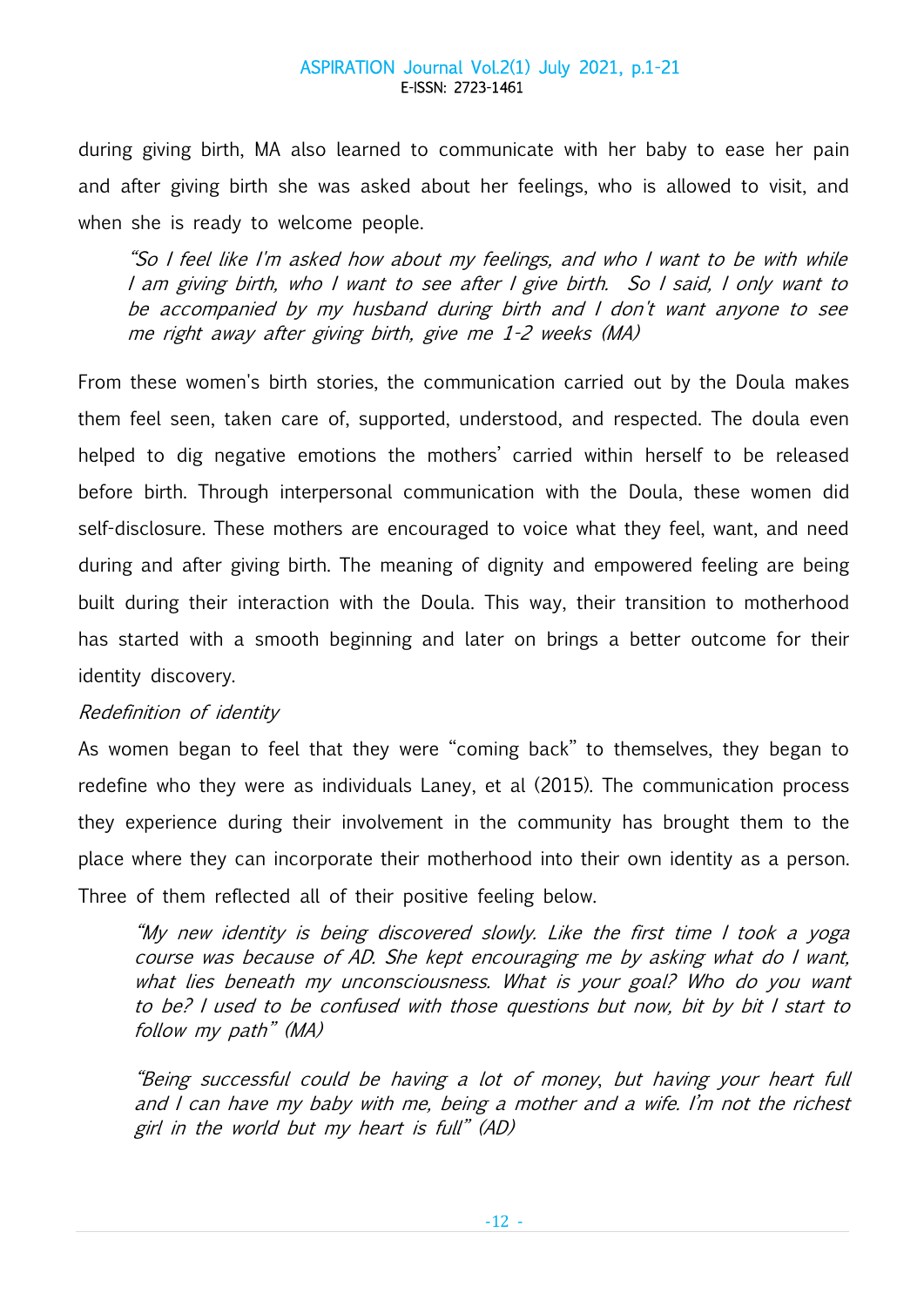during giving birth, MA also learned to communicate with her baby to ease her pain and after giving birth she was asked about her feelings, who is allowed to visit, and when she is ready to welcome people.

"So I feel like I'm asked how about my feelings, and who I want to be with while I am giving birth, who I want to see after I give birth. So I said, I only want to be accompanied by my husband during birth and I don't want anyone to see me right away after giving birth, give me 1-2 weeks (MA)

From these women's birth stories, the communication carried out by the Doula makes them feel seen, taken care of, supported, understood, and respected. The doula even helped to dig negative emotions the mothers' carried within herself to be released before birth. Through interpersonal communication with the Doula, these women did self-disclosure. These mothers are encouraged to voice what they feel, want, and need during and after giving birth. The meaning of dignity and empowered feeling are being built during their interaction with the Doula. This way, their transition to motherhood has started with a smooth beginning and later on brings a better outcome for their identity discovery.

## Redefinition of identity

As women began to feel that they were "coming back" to themselves, they began to redefine who they were as individuals Laney, et al (2015). The communication process they experience during their involvement in the community has brought them to the place where they can incorporate their motherhood into their own identity as a person. Three of them reflected all of their positive feeling below.

"My new identity is being discovered slowly. Like the first time I took a yoga course was because of AD. She kept encouraging me by asking what do I want, what lies beneath my unconsciousness. What is your goal? Who do you want to be? I used to be confused with those questions but now, bit by bit I start to follow my path" (MA)

"Being successful could be having a lot of money, but having your heart full and I can have my baby with me, being a mother and a wife. I'm not the richest girl in the world but my heart is full" (AD)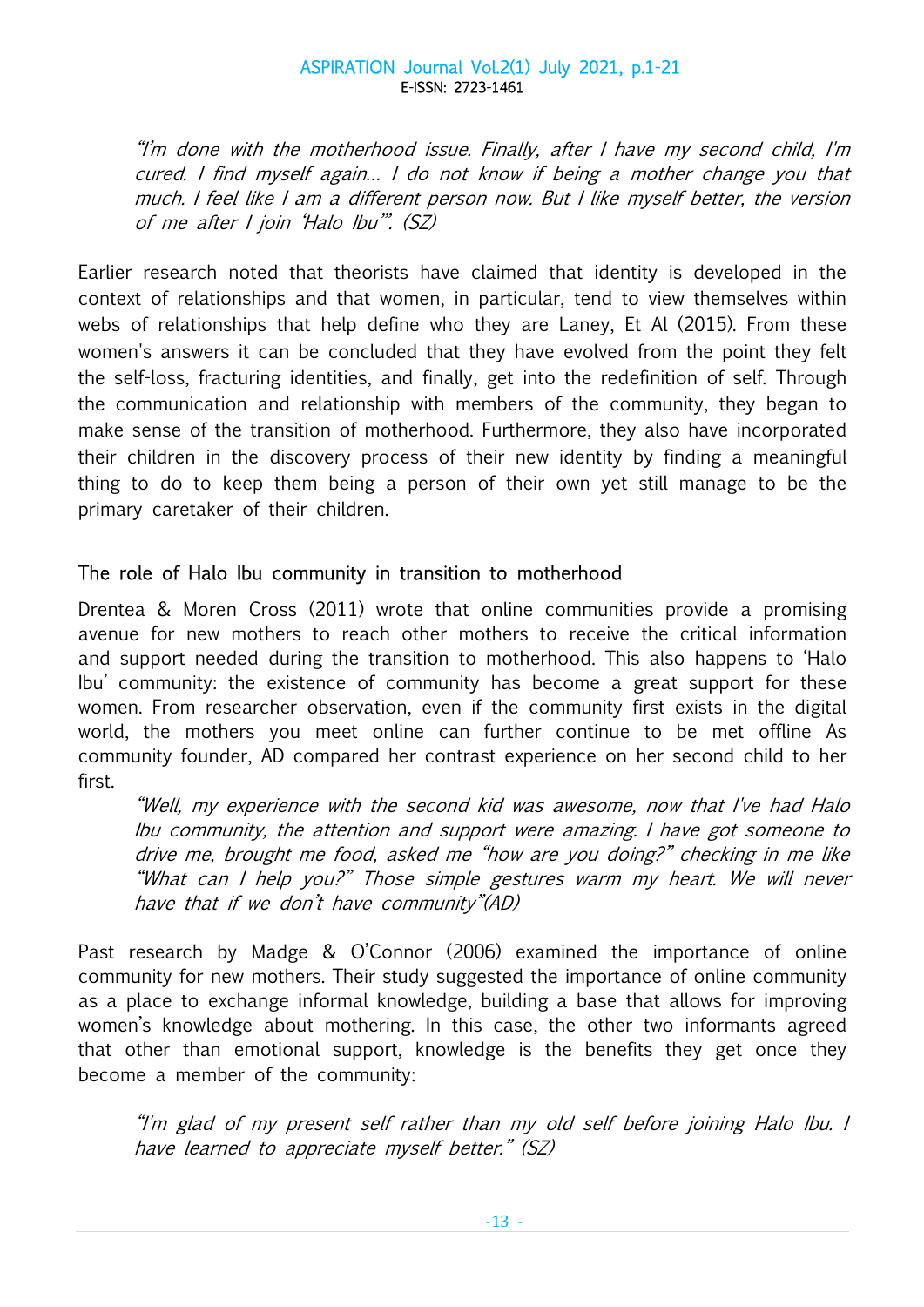"I'm done with the motherhood issue. Finally, after I have my second child, I'm cured. I find myself again… I do not know if being a mother change you that much. I feel like I am a different person now. But I like myself better, the version of me after I join 'Halo Ibu'". (SZ)

Earlier research noted that theorists have claimed that identity is developed in the context of relationships and that women, in particular, tend to view themselves within webs of relationships that help define who they are Laney, Et Al (2015). From these women's answers it can be concluded that they have evolved from the point they felt the self-loss, fracturing identities, and finally, get into the redefinition of self. Through the communication and relationship with members of the community, they began to make sense of the transition of motherhood. Furthermore, they also have incorporated their children in the discovery process of their new identity by finding a meaningful thing to do to keep them being a person of their own yet still manage to be the primary caretaker of their children.

# The role of Halo Ibu community in transition to motherhood

Drentea & Moren Cross (2011) wrote that online communities provide a promising avenue for new mothers to reach other mothers to receive the critical information and support needed during the transition to motherhood. This also happens to 'Halo Ibu' community: the existence of community has become a great support for these women. From researcher observation, even if the community first exists in the digital world, the mothers you meet online can further continue to be met offline As community founder, AD compared her contrast experience on her second child to her first.

"Well, my experience with the second kid was awesome, now that I've had Halo Ibu community, the attention and support were amazing. I have got someone to drive me, brought me food, asked me "how are you doing?" checking in me like "What can I help you?" Those simple gestures warm my heart. We will never have that if we don't have community"(AD)

Past research by Madge & O'Connor (2006) examined the importance of online community for new mothers. Their study suggested the importance of online community as a place to exchange informal knowledge, building a base that allows for improving women's knowledge about mothering. In this case, the other two informants agreed that other than emotional support, knowledge is the benefits they get once they become a member of the community:

"I'm glad of my present self rather than my old self before joining Halo Ibu. I have learned to appreciate myself better." (SZ)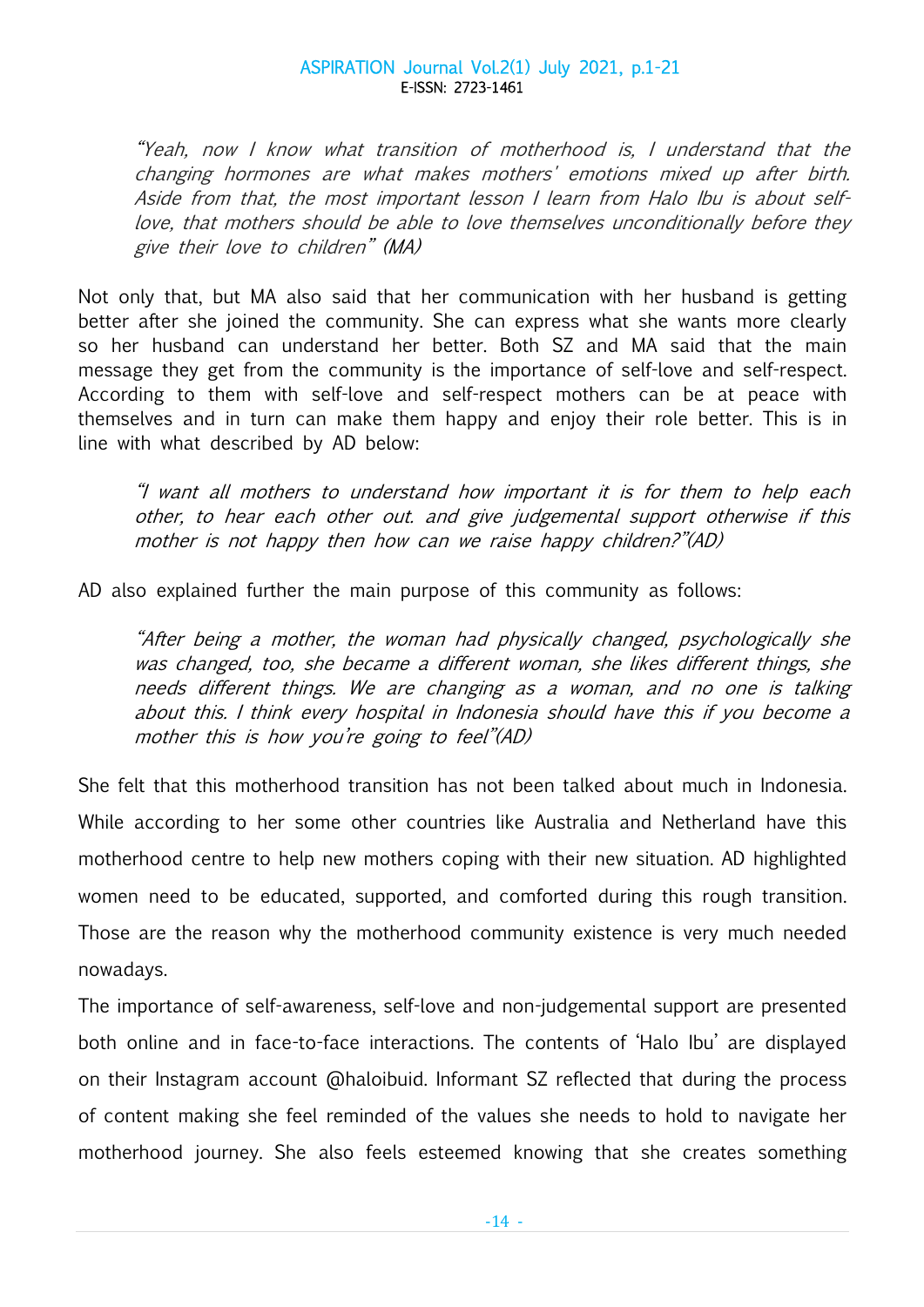"Yeah, now I know what transition of motherhood is, I understand that the changing hormones are what makes mothers' emotions mixed up after birth. Aside from that, the most important lesson I learn from Halo Ibu is about selflove, that mothers should be able to love themselves unconditionally before they give their love to children" (MA)

Not only that, but MA also said that her communication with her husband is getting better after she joined the community. She can express what she wants more clearly so her husband can understand her better. Both SZ and MA said that the main message they get from the community is the importance of self-love and self-respect. According to them with self-love and self-respect mothers can be at peace with themselves and in turn can make them happy and enjoy their role better. This is in line with what described by AD below:

"I want all mothers to understand how important it is for them to help each other, to hear each other out. and give judgemental support otherwise if this mother is not happy then how can we raise happy children?"(AD)

AD also explained further the main purpose of this community as follows:

"After being a mother, the woman had physically changed, psychologically she was changed, too, she became a different woman, she likes different things, she needs different things. We are changing as a woman, and no one is talking about this. I think every hospital in Indonesia should have this if you become a mother this is how you're going to feel"(AD)

She felt that this motherhood transition has not been talked about much in Indonesia. While according to her some other countries like Australia and Netherland have this motherhood centre to help new mothers coping with their new situation. AD highlighted women need to be educated, supported, and comforted during this rough transition. Those are the reason why the motherhood community existence is very much needed nowadays.

The importance of self-awareness, self-love and non-judgemental support are presented both online and in face-to-face interactions. The contents of 'Halo Ibu' are displayed on their Instagram account @haloibuid. Informant SZ reflected that during the process of content making she feel reminded of the values she needs to hold to navigate her motherhood journey. She also feels esteemed knowing that she creates something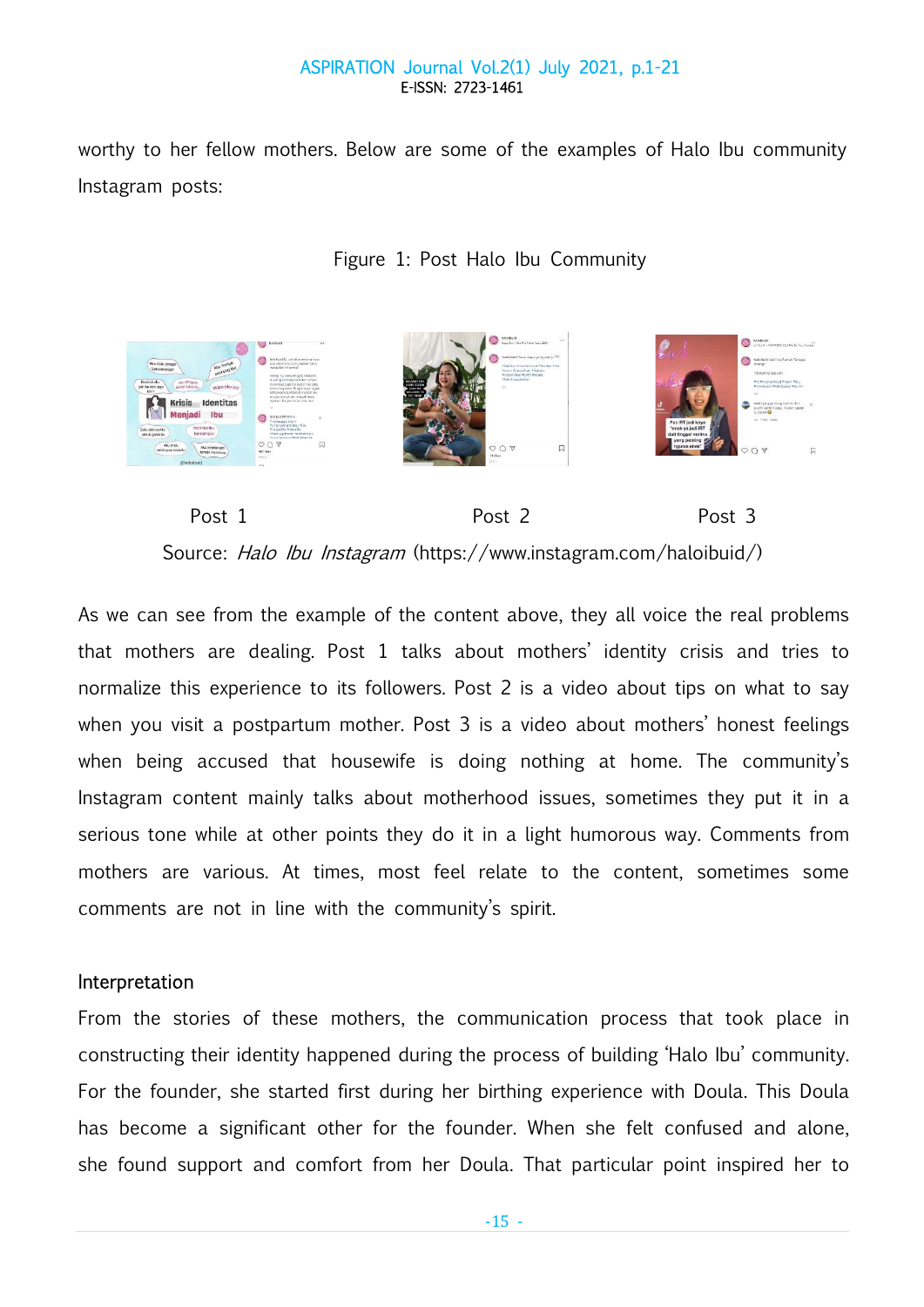worthy to her fellow mothers. Below are some of the examples of Halo Ibu community Instagram posts:







As we can see from the example of the content above, they all voice the real problems that mothers are dealing. Post 1 talks about mothers' identity crisis and tries to normalize this experience to its followers. Post 2 is a video about tips on what to say when you visit a postpartum mother. Post 3 is a video about mothers' honest feelings when being accused that housewife is doing nothing at home. The community's Instagram content mainly talks about motherhood issues, sometimes they put it in a serious tone while at other points they do it in a light humorous way. Comments from mothers are various. At times, most feel relate to the content, sometimes some comments are not in line with the community's spirit.

## Interpretation

From the stories of these mothers, the communication process that took place in constructing their identity happened during the process of building 'Halo Ibu' community. For the founder, she started first during her birthing experience with Doula. This Doula has become a significant other for the founder. When she felt confused and alone, she found support and comfort from her Doula. That particular point inspired her to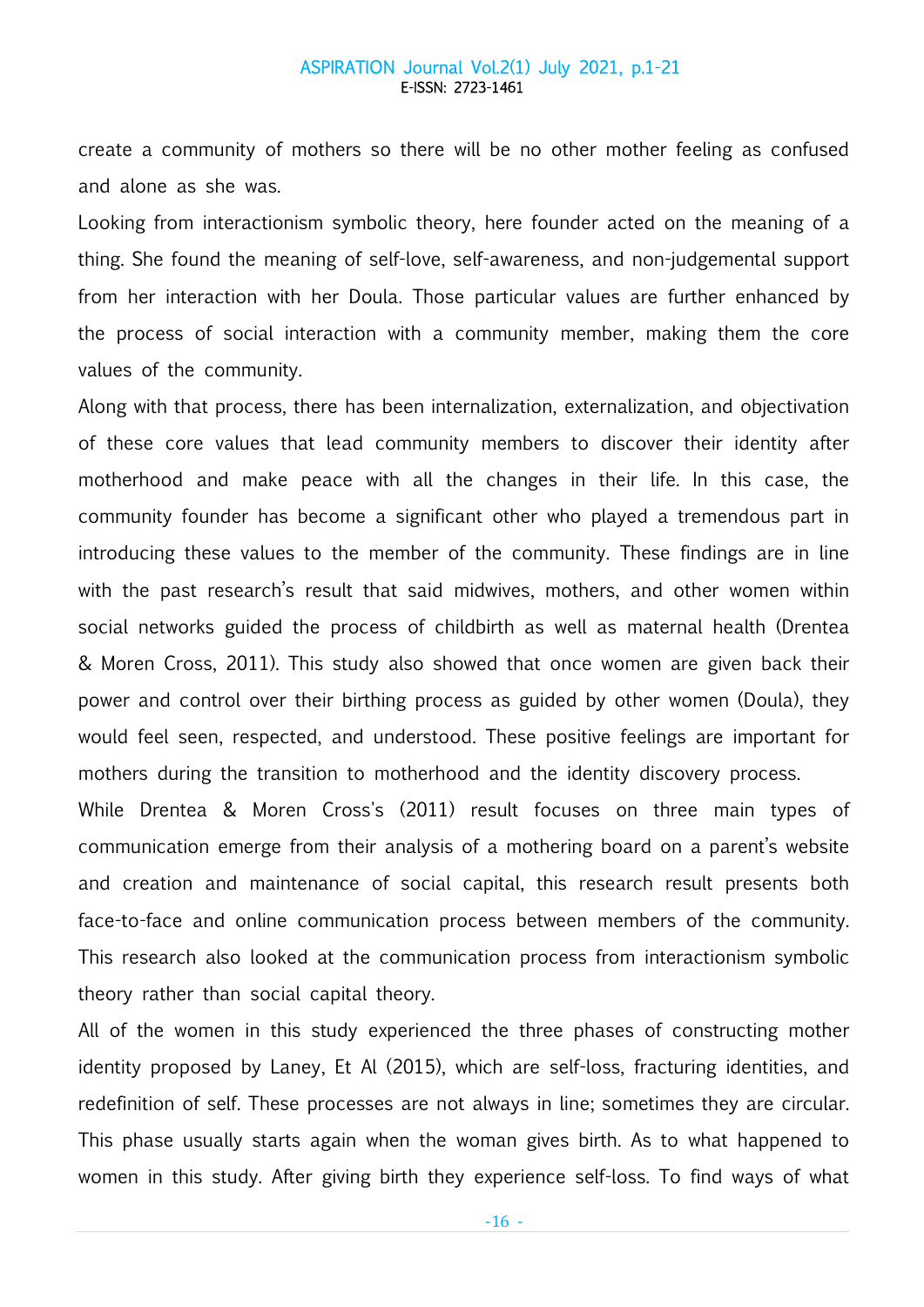create a community of mothers so there will be no other mother feeling as confused and alone as she was.

Looking from interactionism symbolic theory, here founder acted on the meaning of a thing. She found the meaning of self-love, self-awareness, and non-judgemental support from her interaction with her Doula. Those particular values are further enhanced by the process of social interaction with a community member, making them the core values of the community.

Along with that process, there has been internalization, externalization, and objectivation of these core values that lead community members to discover their identity after motherhood and make peace with all the changes in their life. In this case, the community founder has become a significant other who played a tremendous part in introducing these values to the member of the community. These findings are in line with the past research's result that said midwives, mothers, and other women within social networks guided the process of childbirth as well as maternal health (Drentea & Moren Cross, 2011). This study also showed that once women are given back their power and control over their birthing process as guided by other women (Doula), they would feel seen, respected, and understood. These positive feelings are important for mothers during the transition to motherhood and the identity discovery process.

While Drentea & Moren Cross's (2011) result focuses on three main types of communication emerge from their analysis of a mothering board on a parent's website and creation and maintenance of social capital, this research result presents both face-to-face and online communication process between members of the community. This research also looked at the communication process from interactionism symbolic theory rather than social capital theory.

All of the women in this study experienced the three phases of constructing mother identity proposed by Laney, Et Al (2015), which are self-loss, fracturing identities, and redefinition of self. These processes are not always in line; sometimes they are circular. This phase usually starts again when the woman gives birth. As to what happened to women in this study. After giving birth they experience self-loss. To find ways of what

 $-16 -$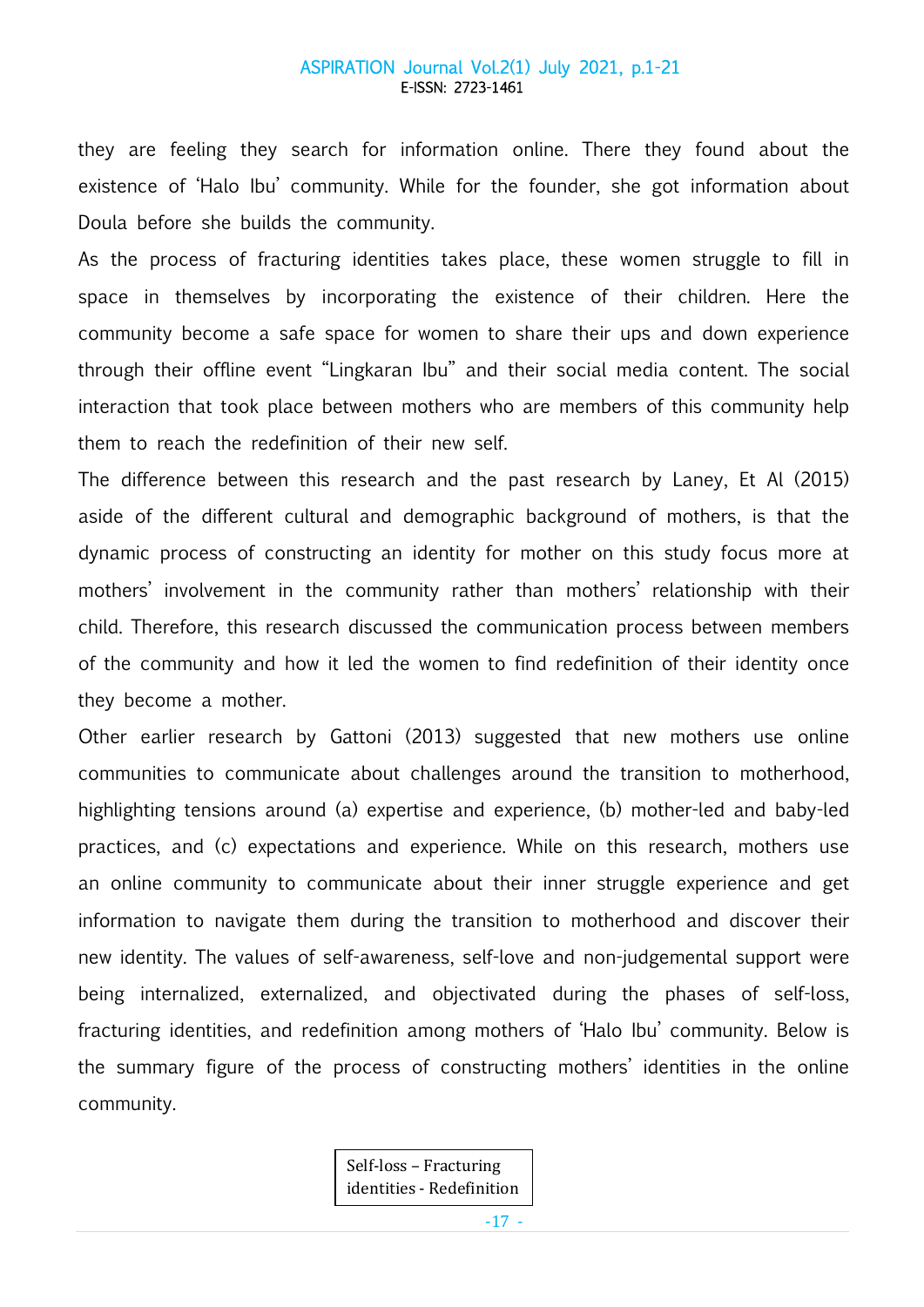they are feeling they search for information online. There they found about the existence of 'Halo Ibu' community. While for the founder, she got information about Doula before she builds the community.

As the process of fracturing identities takes place, these women struggle to fill in space in themselves by incorporating the existence of their children. Here the community become a safe space for women to share their ups and down experience through their offline event "Lingkaran Ibu" and their social media content. The social interaction that took place between mothers who are members of this community help them to reach the redefinition of their new self.

The difference between this research and the past research by Laney, Et Al (2015) aside of the different cultural and demographic background of mothers, is that the dynamic process of constructing an identity for mother on this study focus more at mothers' involvement in the community rather than mothers' relationship with their child. Therefore, this research discussed the communication process between members of the community and how it led the women to find redefinition of their identity once they become a mother.

Other earlier research by Gattoni (2013) suggested that new mothers use online communities to communicate about challenges around the transition to motherhood, highlighting tensions around (a) expertise and experience, (b) mother-led and baby-led practices, and (c) expectations and experience. While on this research, mothers use an online community to communicate about their inner struggle experience and get information to navigate them during the transition to motherhood and discover their new identity. The values of self-awareness, self-love and non-judgemental support were being internalized, externalized, and objectivated during the phases of self-loss, fracturing identities, and redefinition among mothers of 'Halo Ibu' community. Below is the summary figure of the process of constructing mothers' identities in the online community.

> Self-loss – Fracturing identities - Redefinition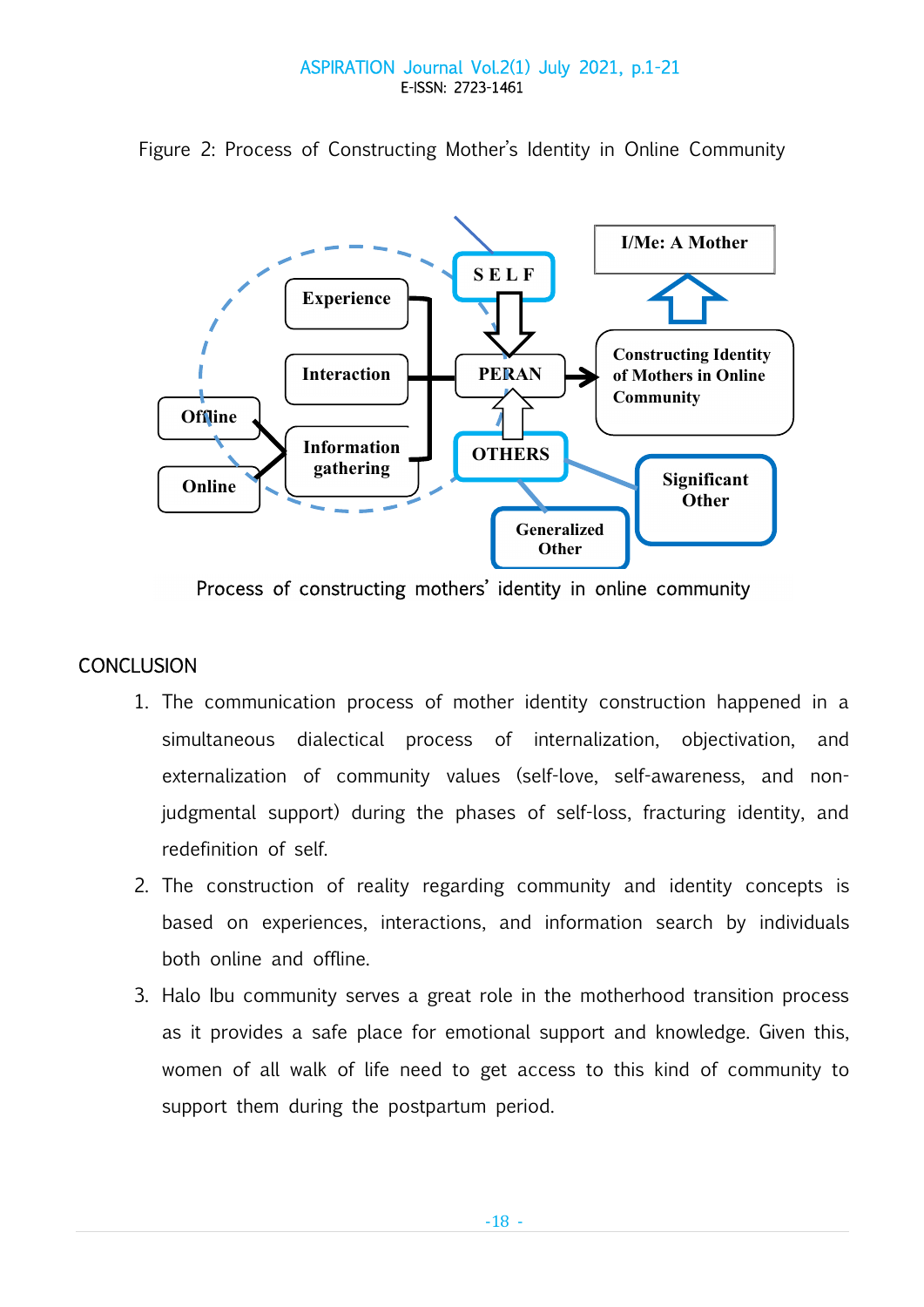

Figure 2: Process of Constructing Mother's Identity in Online Community

Process of constructing mothers' identity in online community

# **CONCLUSION**

- 1. The communication process of mother identity construction happened in a simultaneous dialectical process of internalization, objectivation, and externalization of community values (self-love, self-awareness, and nonjudgmental support) during the phases of self-loss, fracturing identity, and redefinition of self.
- 2. The construction of reality regarding community and identity concepts is based on experiences, interactions, and information search by individuals both online and offline.
- 3. Halo Ibu community serves a great role in the motherhood transition process as it provides a safe place for emotional support and knowledge. Given this, women of all walk of life need to get access to this kind of community to support them during the postpartum period.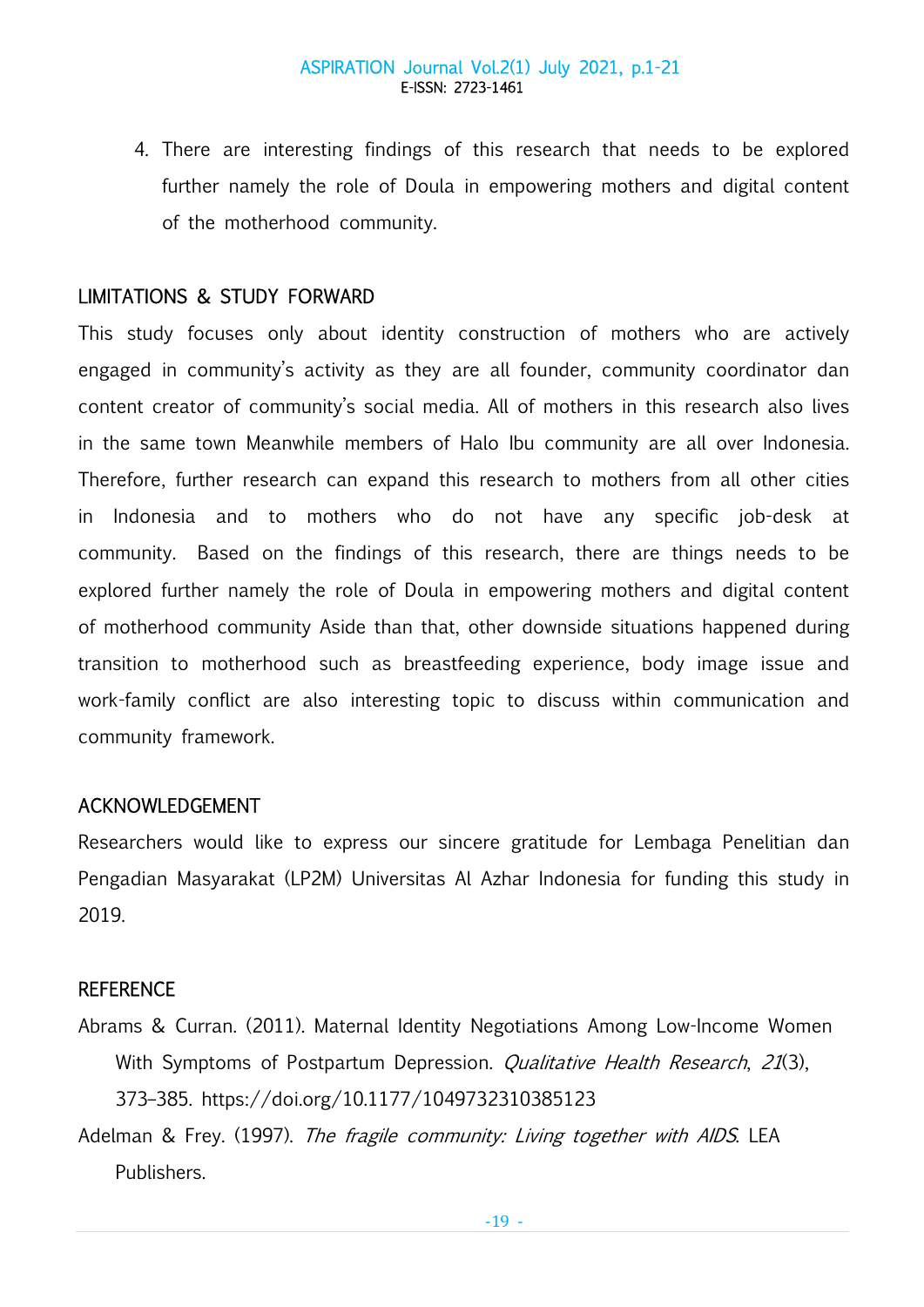4. There are interesting findings of this research that needs to be explored further namely the role of Doula in empowering mothers and digital content of the motherhood community.

# LIMITATIONS & STUDY FORWARD

This study focuses only about identity construction of mothers who are actively engaged in community's activity as they are all founder, community coordinator dan content creator of community's social media. All of mothers in this research also lives in the same town Meanwhile members of Halo Ibu community are all over Indonesia. Therefore, further research can expand this research to mothers from all other cities in Indonesia and to mothers who do not have any specific job-desk at community. Based on the findings of this research, there are things needs to be explored further namely the role of Doula in empowering mothers and digital content of motherhood community Aside than that, other downside situations happened during transition to motherhood such as breastfeeding experience, body image issue and work-family conflict are also interesting topic to discuss within communication and community framework.

## ACKNOWLEDGEMENT

Researchers would like to express our sincere gratitude for Lembaga Penelitian dan Pengadian Masyarakat (LP2M) Universitas Al Azhar Indonesia for funding this study in 2019.

## **REFERENCE**

- Abrams & Curran. (2011). Maternal Identity Negotiations Among Low-Income Women With Symptoms of Postpartum Depression. *Qualitative Health Research*, 21(3), 373–385. https://doi.org/10.1177/1049732310385123
- Adelman & Frey. (1997). The fragile community: Living together with AIDS. LEA Publishers.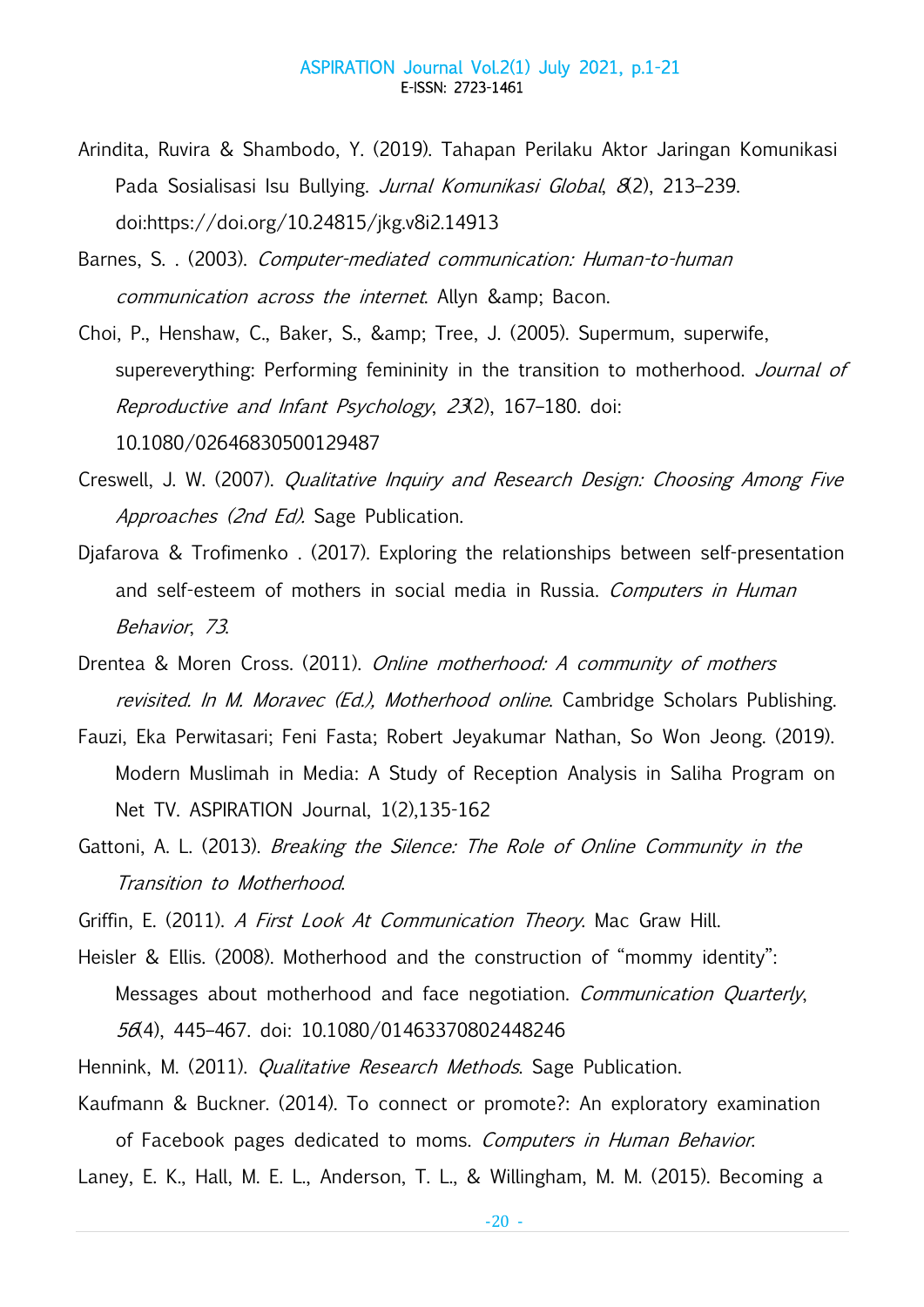- Arindita, Ruvira & Shambodo, Y. (2019). Tahapan Perilaku Aktor Jaringan Komunikasi Pada Sosialisasi Isu Bullying. Jurnal Komunikasi Global, 8(2), 213-239. doi:https://doi.org/10.24815/jkg.v8i2.14913
- Barnes, S. . (2003). Computer-mediated communication: Human-to-human communication across the internet. Allyn & amp; Bacon.
- Choi, P., Henshaw, C., Baker, S., & amp; Tree, J. (2005). Supermum, superwife, supereverything: Performing femininity in the transition to motherhood. Journal of Reproductive and Infant Psychology, 23(2), 167–180. doi: 10.1080/02646830500129487
- Creswell, J. W. (2007). Qualitative Inquiry and Research Design: Choosing Among Five Approaches (2nd Ed). Sage Publication.
- Djafarova & Trofimenko . (2017). Exploring the relationships between self-presentation and self-esteem of mothers in social media in Russia. Computers in Human Behavior, 73.
- Drentea & Moren Cross. (2011). Online motherhood: A community of mothers revisited. In M. Moravec (Ed.), Motherhood online. Cambridge Scholars Publishing.
- Fauzi, Eka Perwitasari; Feni Fasta; Robert Jeyakumar Nathan, So Won Jeong. (2019). Modern Muslimah in Media: A Study of Reception Analysis in Saliha Program on Net TV. ASPIRATION Journal, 1(2),135-162
- Gattoni, A. L. (2013). Breaking the Silence: The Role of Online Community in the Transition to Motherhood.
- Griffin, E. (2011). A First Look At Communication Theory. Mac Graw Hill.
- Heisler & Ellis. (2008). Motherhood and the construction of "mommy identity": Messages about motherhood and face negotiation. Communication Quarterly, 56(4), 445–467. doi: 10.1080/01463370802448246
- Hennink, M. (2011). *Qualitative Research Methods*. Sage Publication.
- Kaufmann & Buckner. (2014). To connect or promote?: An exploratory examination of Facebook pages dedicated to moms. Computers in Human Behavior.

Laney, E. K., Hall, M. E. L., Anderson, T. L., & Willingham, M. M. (2015). Becoming a